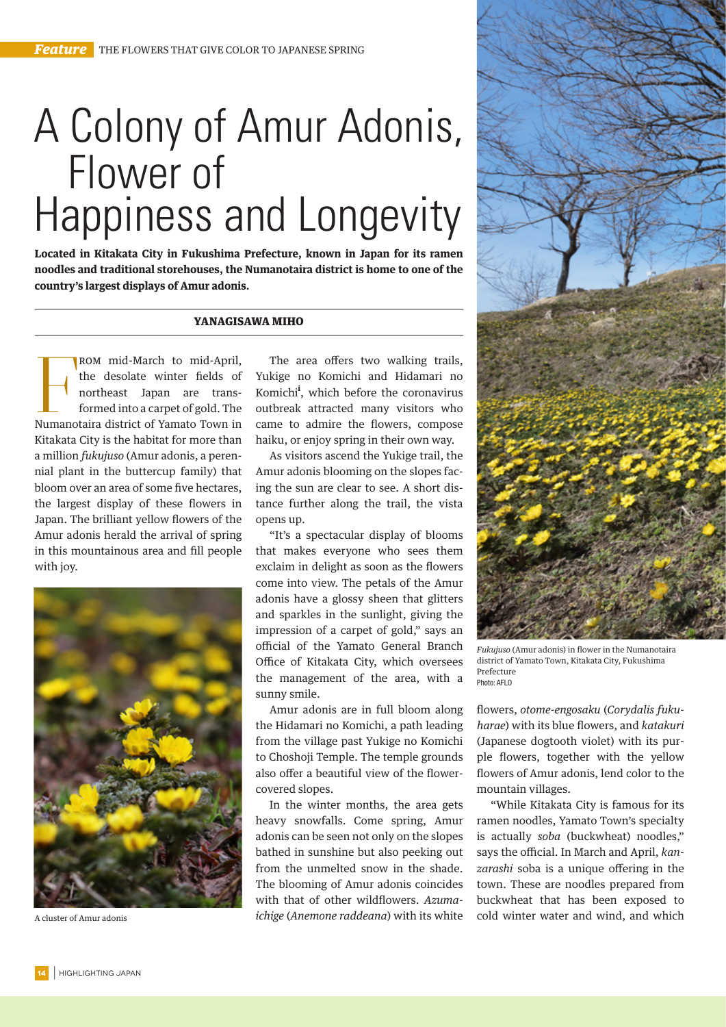## A Colony of Amur Adonis, Flower of Happiness and Longevity

**Located in Kitakata City in Fukushima Prefecture, known in Japan for its ramen noodles and traditional storehouses, the Numanotaira district is home to one of the country's largest displays of Amur adonis.**

## YANAGISAWA MIHO

ROM mid-March to mid-April,<br>the desolate winter fields of<br>northeast Japan are trans-<br>formed into a carpet of gold. The<br>Numanotaira district of Yamato Town in ROM mid-March to mid-April, the desolate winter fields of northeast Japan are transformed into a carpet of gold. The Kitakata City is the habitat for more than a million *fukujuso* (Amur adonis, a perennial plant in the buttercup family) that bloom over an area of some five hectares, the largest display of these flowers in Japan. The brilliant yellow flowers of the Amur adonis herald the arrival of spring in this mountainous area and fill people with joy.



A cluster of Amur adonis

The area offers two walking trails, Yukige no Komichi and Hidamari no Komichi<sup>i</sup>, which before the coronavirus outbreak attracted many visitors who came to admire the flowers, compose haiku, or enjoy spring in their own way.

As visitors ascend the Yukige trail, the Amur adonis blooming on the slopes facing the sun are clear to see. A short distance further along the trail, the vista opens up.

"It's a spectacular display of blooms that makes everyone who sees them exclaim in delight as soon as the flowers come into view. The petals of the Amur adonis have a glossy sheen that glitters and sparkles in the sunlight, giving the impression of a carpet of gold," says an official of the Yamato General Branch Office of Kitakata City, which oversees the management of the area, with a sunny smile.

Amur adonis are in full bloom along the Hidamari no Komichi, a path leading from the village past Yukige no Komichi to Choshoji Temple. The temple grounds also offer a beautiful view of the flowercovered slopes.

In the winter months, the area gets heavy snowfalls. Come spring, Amur adonis can be seen not only on the slopes bathed in sunshine but also peeking out from the unmelted snow in the shade. The blooming of Amur adonis coincides with that of other wildflowers. *Azumaichige* (*Anemone raddeana*) with its white



*Fukujuso* (Amur adonis) in flower in the Numanotaira district of Yamato Town, Kitakata City, Fukushima Prefecture Photo: AFLO

flowers, *otome-engosaku* (*Corydalis fukuharae*) with its blue flowers, and *katakuri* (Japanese dogtooth violet) with its purple flowers, together with the yellow flowers of Amur adonis, lend color to the mountain villages.

"While Kitakata City is famous for its ramen noodles, Yamato Town's specialty is actually *soba* (buckwheat) noodles," says the official. In March and April, *kanzarashi* soba is a unique offering in the town. These are noodles prepared from buckwheat that has been exposed to cold winter water and wind, and which